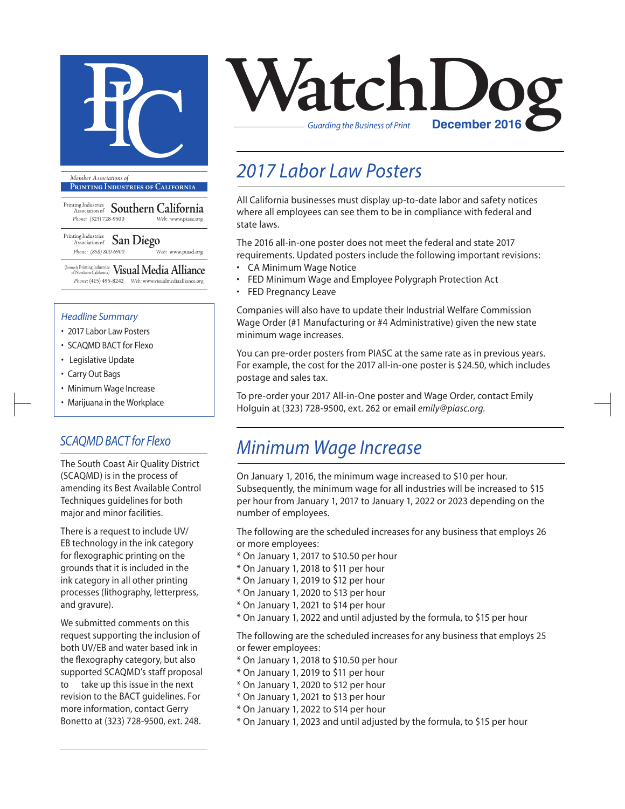

**Printing Industries of California**

- Printing Industries Association of **Southern California** *Phone:* (323) 728-9500 *Web:* www.piasc.org
- Printing Industries Association of **San Diego** *Phone: (858) 800-6900 Web:* www.piasd.org

(formerly Printing Industries of Northern California) **Visual Media Alliance** *Phone:* (415) 495-8242 *Web:* www.visualmediaalliance.org

#### *Headline Summary*

- 2017 Labor Law Posters
- SCAQMD BACT for Flexo
- Legislative Update
- Carry Out Bags
- Minimum Wage Increase
- Marijuana in the Workplace

### *SCAQMD BACT for Flexo*

The South Coast Air Quality District (SCAQMD) is in the process of amending its Best Available Control Techniques guidelines for both major and minor facilities.

There is a request to include UV/ EB technology in the ink category for flexographic printing on the grounds that it is included in the ink category in all other printing processes (lithography, letterpress, and gravure).

We submitted comments on this request supporting the inclusion of both UV/EB and water based ink in the flexography category, but also supported SCAQMD's staff proposal to take up this issue in the next revision to the BACT guidelines. For more information, contact Gerry Bonetto at (323) 728-9500, ext. 248.



## *2017 Labor Law Posters*

All California businesses must display up-to-date labor and safety notices where all employees can see them to be in compliance with federal and state laws.

The 2016 all-in-one poster does not meet the federal and state 2017 requirements. Updated posters include the following important revisions:

- CA Minimum Wage Notice
- FED Minimum Wage and Employee Polygraph Protection Act
- FED Pregnancy Leave

Companies will also have to update their Industrial Welfare Commission Wage Order (#1 Manufacturing or #4 Administrative) given the new state minimum wage increases.

You can pre-order posters from PIASC at the same rate as in previous years. For example, the cost for the 2017 all-in-one poster is \$24.50, which includes postage and sales tax.

To pre-order your 2017 All-in-One poster and Wage Order, contact Emily Holguin at (323) 728-9500, ext. 262 or email *emily@piasc.org.*

### *Minimum Wage Increase*

On January 1, 2016, the minimum wage increased to \$10 per hour. Subsequently, the minimum wage for all industries will be increased to \$15 per hour from January 1, 2017 to January 1, 2022 or 2023 depending on the number of employees.

The following are the scheduled increases for any business that employs 26 or more employees:

- \* On January 1, 2017 to \$10.50 per hour
- \* On January 1, 2018 to \$11 per hour
- \* On January 1, 2019 to \$12 per hour
- \* On January 1, 2020 to \$13 per hour
- \* On January 1, 2021 to \$14 per hour
- \* On January 1, 2022 and until adjusted by the formula, to \$15 per hour

The following are the scheduled increases for any business that employs 25 or fewer employees:

- \* On January 1, 2018 to \$10.50 per hour
- \* On January 1, 2019 to \$11 per hour
- \* On January 1, 2020 to \$12 per hour
- \* On January 1, 2021 to \$13 per hour
- \* On January 1, 2022 to \$14 per hour
- \* On January 1, 2023 and until adjusted by the formula, to \$15 per hour